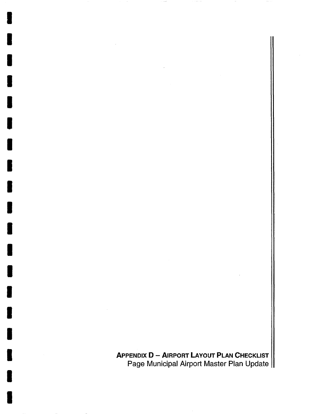APPENDIX D - AIRPORT LAYOUT PLAN CHECKLIST Page Municipal Airport Master Plan Update

I

I

I

I

I

I

I

I

I

I

I

I

I

I

I

I

I

I

I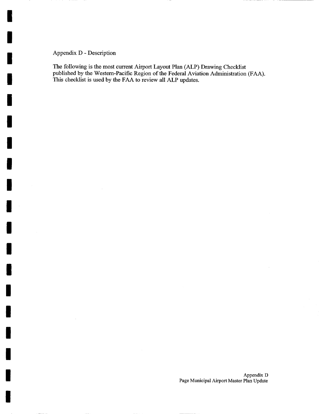Appendix D - Description

I

I

I

I

I

I

I

I

i

I

I

I

I

I

I

I

I

I

I

The following is the most current Airport Layout Plan (ALP) Drawing Checklist published by the Western-Pacific Region of the Federal Aviation Administration (FAA). This checklist is used by the FAA to review all ALP updates.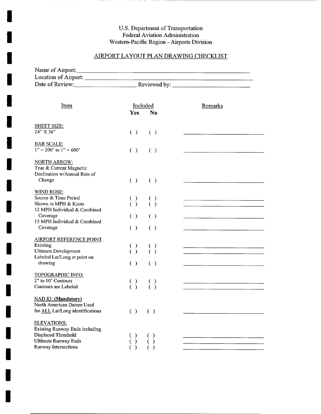## **U.S. Department of Transportation Federal Aviation Administration Western-Pacific Region - Airports Division**

. . . . . . . . . . .

**I** 

**I** 

**I** 

**I** 

**I** 

**I** 

**!** 

**I** 

**I** 

**I** 

**I** 

**I** 

**I** 

**I** 

**I** 

**I** 

**I** 

**I** 

**I** 

## AIRPORT LAYOUT PLAN DRAWING CHECKLIST

| Name of Airport:                         |                                                                                               |                                                                                                                       |
|------------------------------------------|-----------------------------------------------------------------------------------------------|-----------------------------------------------------------------------------------------------------------------------|
|                                          |                                                                                               |                                                                                                                       |
| Date of Review: Reviewed by:             |                                                                                               |                                                                                                                       |
|                                          |                                                                                               |                                                                                                                       |
| Item                                     | Included                                                                                      | Remarks                                                                                                               |
|                                          | Yes<br>No.                                                                                    |                                                                                                                       |
| <b>SHEET SIZE:</b>                       |                                                                                               |                                                                                                                       |
| 24" X 36"                                | ( )<br>( )                                                                                    |                                                                                                                       |
|                                          |                                                                                               |                                                                                                                       |
| <b>BAR SCALE:</b>                        |                                                                                               |                                                                                                                       |
| $1" = 200'$ to $1" = 600'$               | ( )<br>( )                                                                                    |                                                                                                                       |
| <b>NORTH ARROW:</b>                      |                                                                                               |                                                                                                                       |
| True & Current Magnetic                  |                                                                                               |                                                                                                                       |
| Declination w/Annual Rate of             |                                                                                               |                                                                                                                       |
| Change                                   | ( )<br>( )                                                                                    |                                                                                                                       |
| <b>WIND ROSE:</b>                        |                                                                                               |                                                                                                                       |
| Source & Time Period                     | $\begin{matrix} \cdot \\ \cdot \end{matrix}$<br>$\left( \begin{array}{c} \end{array} \right)$ |                                                                                                                       |
| Shown in MPH & Knots                     | ( )                                                                                           |                                                                                                                       |
| 12 MPH Individual & Combined<br>Coverage | ( )<br>( )                                                                                    |                                                                                                                       |
| 15 MPH Individual & Combined             |                                                                                               |                                                                                                                       |
| Coverage                                 | $\left( \begin{array}{c} \end{array} \right)$<br>( )                                          |                                                                                                                       |
| <b>AIRPORT REFERENCE POINT</b>           |                                                                                               |                                                                                                                       |
| Existing                                 | $\left( \quad \right)$                                                                        |                                                                                                                       |
| Ultimate Development                     | $\begin{matrix} \cdot \\ \cdot \end{matrix}$<br>( )                                           |                                                                                                                       |
| Labeled Lat/Long at point on             |                                                                                               |                                                                                                                       |
| drawing                                  | ( )<br>( )                                                                                    |                                                                                                                       |
| <b>TOPOGRAPHIC INFO:</b>                 |                                                                                               |                                                                                                                       |
| 2" to 10' Contours                       | $\begin{pmatrix} 1 \\ 0 \end{pmatrix}$                                                        | <u> Listen alle suomen valtamatikan valtamatiksen valtamatiksen valtamatiksen valtamatiksen valtamatiksen valtama</u> |
| Contours are Labeled                     |                                                                                               |                                                                                                                       |
| <b>NAD 83: (Mandatory)</b>               |                                                                                               |                                                                                                                       |
| North American Datum Used                |                                                                                               |                                                                                                                       |
| for <b>ALL</b> Lat/Long identifications  | ( )<br>( )                                                                                    |                                                                                                                       |
| <b>ELEVATIONS:</b>                       |                                                                                               |                                                                                                                       |
| Existing Runway Ends including           |                                                                                               |                                                                                                                       |
| Displaced Threshold                      | $\rightarrow$<br>€                                                                            |                                                                                                                       |
| <b>Ultimate Runway Ends</b>              | $\mathcal{E}$                                                                                 |                                                                                                                       |
| Runway Intersections                     |                                                                                               |                                                                                                                       |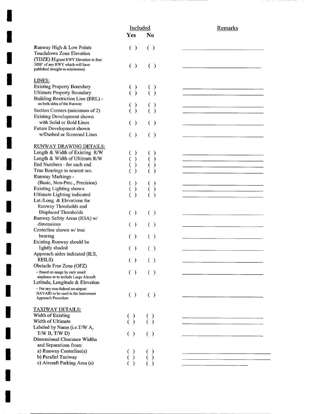|                                                                          | Included               |                                               | Remarks |
|--------------------------------------------------------------------------|------------------------|-----------------------------------------------|---------|
|                                                                          | Yes                    | N <sub>0</sub>                                |         |
| Runway High & Low Points                                                 | $\left( \quad \right)$ | $\left( \begin{array}{c} \end{array} \right)$ |         |
| Touchdown Zone Elevation                                                 |                        |                                               |         |
| (TDZE) Highest RWY Elevation in first                                    |                        |                                               |         |
| 3000' of any RWY which will have                                         |                        |                                               |         |
| published straight-in minimums)                                          | $\left( \quad \right)$ | ( )                                           |         |
| LINES:                                                                   |                        |                                               |         |
| <b>Existing Property Boundary</b>                                        | $\mathcal{Y}$<br>₹     | €                                             |         |
| <b>Ultimate Property Boundary</b>                                        | $\rightarrow$          | ( )                                           |         |
| Building Restriction Line (BRL) -                                        |                        |                                               |         |
| on both sides of the Runway                                              | $\mathcal{Y}$<br>€     | €                                             |         |
| Section Corners (minimum of 2)                                           | $\lambda$              | ℩                                             |         |
| Existing Development shown                                               |                        |                                               |         |
| with Solid or Bold Lines                                                 | $\lambda$<br>€         | $\left( \begin{array}{c} \end{array} \right)$ |         |
| Future Development shown                                                 |                        |                                               |         |
| w/Dashed or Screened Lines                                               | ( )                    | ( )                                           |         |
|                                                                          |                        |                                               |         |
| RUNWAY DRAWING DETAILS:                                                  |                        |                                               |         |
| Length & Width of Existing R/W                                           | $\mathcal{Y}$          |                                               |         |
| Length & Width of Ultimate R/W                                           | $\mathcal{E}$          |                                               |         |
| End Numbers - for each end                                               | $\mathcal{E}$          |                                               |         |
| True Bearings to nearest sec.                                            | $\lambda$              |                                               |         |
| Runway Markings -                                                        |                        |                                               |         |
| (Basic, Non-Prec., Precision)                                            | $\mathcal{Y}$          |                                               |         |
| Existing Lighting shown                                                  | $\mathcal{E}$          | €                                             |         |
| Ultimate Lighting indicated                                              | $\lambda$              |                                               |         |
| Lat./Long. & Elevations for                                              |                        |                                               |         |
| Runway Thresholds and                                                    |                        |                                               |         |
| Displaced Thresholds                                                     | ( )                    | ( )                                           |         |
| Runway Safety Areas (RSA) w/                                             |                        |                                               |         |
| dimensions                                                               | $\left( \quad \right)$ | ( )                                           |         |
| Centerline shown w/ true                                                 |                        |                                               |         |
| bearing                                                                  | ( )                    | ( )                                           |         |
| Existing Runway should be                                                |                        |                                               |         |
| lightly shaded                                                           | ( )                    | ( )                                           |         |
| Approach aides indicated (ILS,                                           |                        |                                               |         |
| REILS)                                                                   |                        |                                               |         |
| Obstacle Free Zone (OFZ)                                                 | ( )                    | ( )                                           |         |
|                                                                          |                        |                                               |         |
| - Based on usage by only small<br>airplanes or to include Large Aircraft | ( )                    | ( )                                           |         |
| Latitude, Longitude & Elevation                                          |                        |                                               |         |
| - For any non-federal on-airport                                         |                        |                                               |         |
| NAVAID to be used in the Instrument                                      | ( )                    | ( )                                           |         |
| Approach Procedure                                                       |                        |                                               |         |
| <b>TAXIWAY DETAILS:</b>                                                  |                        |                                               |         |
| Width of Existing                                                        |                        |                                               |         |
| Width of Ultimate                                                        | $\left( \quad \right)$ | $\left( \quad \right)$                        |         |
|                                                                          | $\lambda$              |                                               |         |
| Labeled by Name (i.e.T/W A,                                              |                        |                                               |         |
| T/W B, T/W D                                                             | $(\ )$                 | ( )                                           |         |
| Dimensional Clearance Widths                                             |                        |                                               |         |
| and Separations from:                                                    |                        |                                               |         |
| a) Runway Centerline(s)                                                  |                        |                                               |         |
| b) Parallel Taxiway                                                      |                        |                                               |         |
| c) Aircraft Parking Area (s)                                             |                        |                                               |         |

**I** 

**I** 

**I** 

**I** 

**I** 

**I** 

**I** 

**I** 

**I** 

**I** 

**i** 

**I** 

**I** 

**i** 

**I**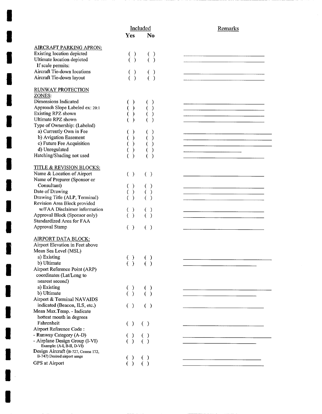| <u> Liberal Constitution de la company de la company de la company de la company de la company de la company de l</u> |
|-----------------------------------------------------------------------------------------------------------------------|
|                                                                                                                       |
|                                                                                                                       |
|                                                                                                                       |
|                                                                                                                       |
|                                                                                                                       |
|                                                                                                                       |
|                                                                                                                       |
|                                                                                                                       |
|                                                                                                                       |
|                                                                                                                       |
|                                                                                                                       |
|                                                                                                                       |
|                                                                                                                       |
|                                                                                                                       |
|                                                                                                                       |
|                                                                                                                       |
|                                                                                                                       |
|                                                                                                                       |
|                                                                                                                       |
|                                                                                                                       |
|                                                                                                                       |
|                                                                                                                       |
|                                                                                                                       |
|                                                                                                                       |
|                                                                                                                       |
|                                                                                                                       |
|                                                                                                                       |
|                                                                                                                       |
|                                                                                                                       |
|                                                                                                                       |
|                                                                                                                       |
|                                                                                                                       |
|                                                                                                                       |
|                                                                                                                       |
|                                                                                                                       |
|                                                                                                                       |
|                                                                                                                       |
|                                                                                                                       |

**I** 

**I** 

**I** 

**I** 

**I** 

**I** 

**I** 

**I** 

**I** 

**I** 

**I** 

**I** 

**I** 

**I** 

**I** 

**I** 

**I** 

**I** 

**I**